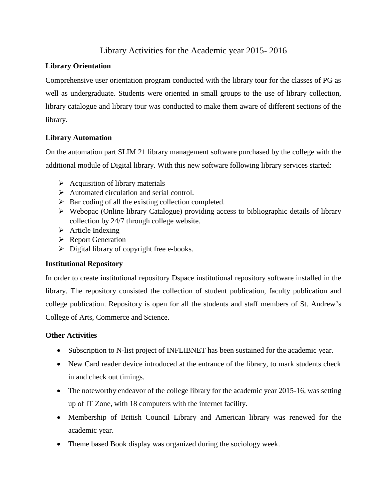# Library Activities for the Academic year 2015- 2016

## **Library Orientation**

Comprehensive user orientation program conducted with the library tour for the classes of PG as well as undergraduate. Students were oriented in small groups to the use of library collection, library catalogue and library tour was conducted to make them aware of different sections of the library.

## **Library Automation**

On the automation part SLIM 21 library management software purchased by the college with the additional module of Digital library. With this new software following library services started:

- $\triangleright$  Acquisition of library materials
- $\triangleright$  Automated circulation and serial control.
- $\triangleright$  Bar coding of all the existing collection completed.
- $\triangleright$  Webopac (Online library Catalogue) providing access to bibliographic details of library collection by 24/7 through college website.
- $\triangleright$  Article Indexing
- $\triangleright$  Report Generation
- $\triangleright$  Digital library of copyright free e-books.

### **Institutional Repository**

In order to create institutional repository Dspace institutional repository software installed in the library. The repository consisted the collection of student publication, faculty publication and college publication. Repository is open for all the students and staff members of St. Andrew's College of Arts, Commerce and Science.

### **Other Activities**

- Subscription to N-list project of INFLIBNET has been sustained for the academic year.
- New Card reader device introduced at the entrance of the library, to mark students check in and check out timings.
- The noteworthy endeavor of the college library for the academic year 2015-16, was setting up of IT Zone, with 18 computers with the internet facility.
- Membership of British Council Library and American library was renewed for the academic year.
- Theme based Book display was organized during the sociology week.